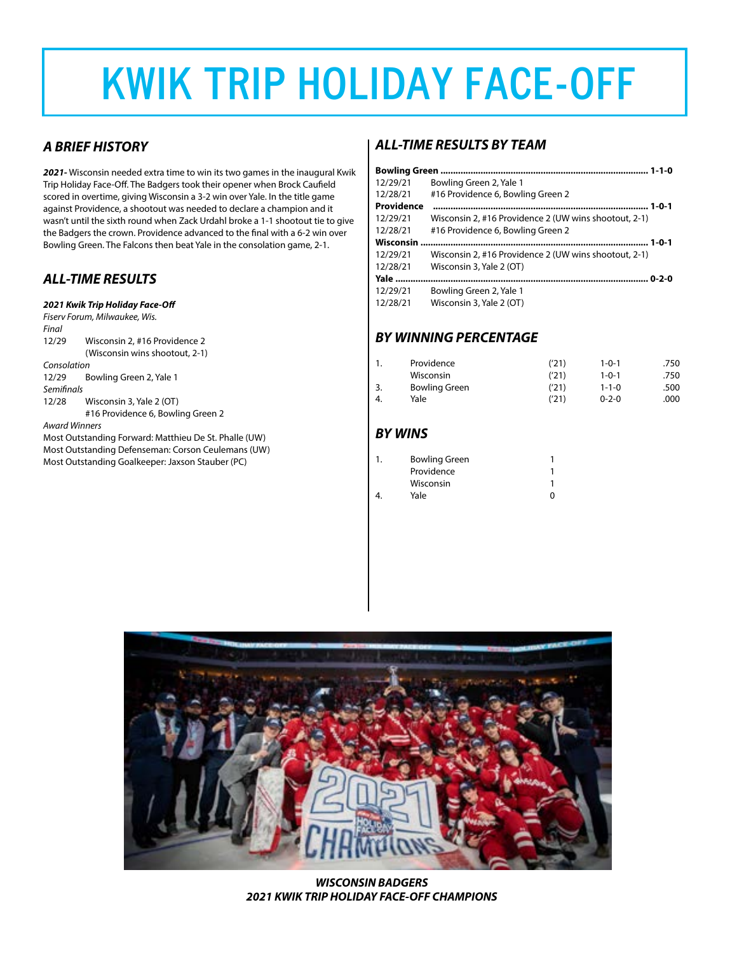# **KWIK TRIP HOLIDAY FACE-OFF**

## *A BRIEF HISTORY*

*2021-* Wisconsin needed extra time to win its two games in the inaugural Kwik Trip Holiday Face-Off. The Badgers took their opener when Brock Caufield scored in overtime, giving Wisconsin a 3-2 win over Yale. In the title game against Providence, a shootout was needed to declare a champion and it wasn't until the sixth round when Zack Urdahl broke a 1-1 shootout tie to give the Badgers the crown. Providence advanced to the final with a 6-2 win over Bowling Green. The Falcons then beat Yale in the consolation game, 2-1.

### *ALL-TIME RESULTS*

#### *2021 Kwik Trip Holiday Face-Off*

*Fiserv Forum, Milwaukee, Wis. Final* 12/29 Wisconsin 2, #16 Providence 2 (Wisconsin wins shootout, 2-1) *Consolation* 12/29 Bowling Green 2, Yale 1 *Semifinals* 12/28 Wisconsin 3, Yale 2 (OT) #16 Providence 6, Bowling Green 2 *Award Winners*

Most Outstanding Forward: Matthieu De St. Phalle (UW) Most Outstanding Defenseman: Corson Ceulemans (UW) Most Outstanding Goalkeeper: Jaxson Stauber (PC)

### *ALL-TIME RESULTS BY TEAM*

| 12/29/21         | Bowling Green 2, Yale 1                               |
|------------------|-------------------------------------------------------|
| 12/28/21         | #16 Providence 6, Bowling Green 2                     |
| Providence       |                                                       |
| 12/29/21         | Wisconsin 2, #16 Providence 2 (UW wins shootout, 2-1) |
| 12/28/21         | #16 Providence 6, Bowling Green 2                     |
| <b>Wisconsin</b> |                                                       |
| 12/29/21         | Wisconsin 2, #16 Providence 2 (UW wins shootout, 2-1) |
| 12/28/21         | Wisconsin 3, Yale 2 (OT)                              |
|                  |                                                       |
| 12/29/21         | Bowling Green 2, Yale 1                               |
| 12/28/21         | Wisconsin 3, Yale 2 (OT)                              |

# *BY WINNING PERCENTAGE*

|    | Providence           | ('21) | $1 - 0 - 1$ | .750 |
|----|----------------------|-------|-------------|------|
|    | Wisconsin            | ('21) | $1 - 0 - 1$ | .750 |
|    | <b>Bowling Green</b> | ('21) | $1 - 1 - 0$ | .500 |
| 4. | Yale                 | ('21) | $0 - 2 - 0$ | .000 |

## *BY WINS*

| 1. | <b>Bowling Green</b> |   |
|----|----------------------|---|
|    | Providence           |   |
|    | Wisconsin            |   |
| 4  | Yale                 | O |
|    |                      |   |



*WISCONSIN BADGERS 2021 KWIK TRIP HOLIDAY FACE-OFF CHAMPIONS*